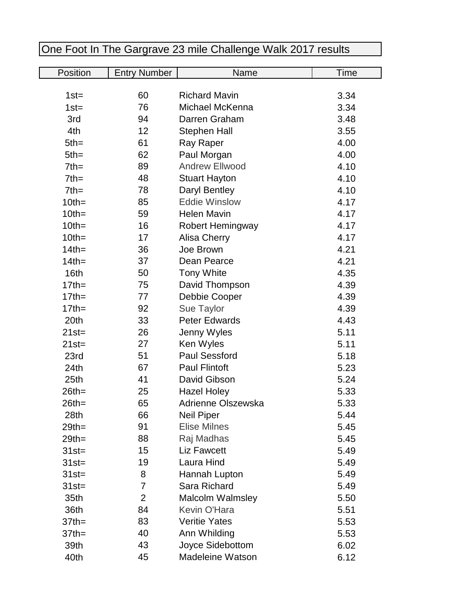| Position         | <b>Entry Number</b> | Name                    | Time |
|------------------|---------------------|-------------------------|------|
|                  |                     |                         |      |
| $1st =$          | 60                  | <b>Richard Mavin</b>    | 3.34 |
| $1st =$          | 76                  | Michael McKenna         | 3.34 |
| 3rd              | 94                  | Darren Graham           | 3.48 |
| 4th              | 12                  | <b>Stephen Hall</b>     | 3.55 |
| $5th =$          | 61                  | Ray Raper               | 4.00 |
| $5th =$          | 62                  | Paul Morgan             | 4.00 |
| $7th =$          | 89                  | <b>Andrew Ellwood</b>   | 4.10 |
| $7th =$          | 48                  | <b>Stuart Hayton</b>    | 4.10 |
| $7th =$          | 78                  | Daryl Bentley           | 4.10 |
| $10th =$         | 85                  | <b>Eddie Winslow</b>    | 4.17 |
| $10th =$         | 59                  | <b>Helen Mavin</b>      | 4.17 |
| $10th =$         | 16                  | Robert Hemingway        | 4.17 |
| $10th =$         | 17                  | Alisa Cherry            | 4.17 |
| $14th =$         | 36                  | Joe Brown               | 4.21 |
| $14$ th=         | 37                  | Dean Pearce             | 4.21 |
| 16th             | 50                  | <b>Tony White</b>       | 4.35 |
| $17th =$         | 75                  | David Thompson          | 4.39 |
| $17th =$         | 77                  | Debbie Cooper           | 4.39 |
| $17$ th=         | 92                  | Sue Taylor              | 4.39 |
| 20th             | 33                  | <b>Peter Edwards</b>    | 4.43 |
| $21st =$         | 26                  | Jenny Wyles             | 5.11 |
| $21st =$         | 27                  | Ken Wyles               | 5.11 |
| 23rd             | 51                  | <b>Paul Sessford</b>    | 5.18 |
| 24 <sub>th</sub> | 67                  | <b>Paul Flintoft</b>    | 5.23 |
| 25 <sub>th</sub> | 41                  | David Gibson            | 5.24 |
| $26th =$         | 25                  | <b>Hazel Holey</b>      | 5.33 |
| $26th =$         | 65                  | Adrienne Olszewska      | 5.33 |
| 28th             | 66                  | <b>Neil Piper</b>       | 5.44 |
| $29th =$         | 91                  | <b>Elise Milnes</b>     | 5.45 |
| $29th =$         | 88                  | Raj Madhas              | 5.45 |
| $31st =$         | 15                  | <b>Liz Fawcett</b>      | 5.49 |
| $31st =$         | 19                  | Laura Hind              | 5.49 |
| $31st =$         | 8                   | Hannah Lupton           | 5.49 |
| $31st =$         | 7                   | Sara Richard            | 5.49 |
| 35th             | $\overline{2}$      | <b>Malcolm Walmsley</b> | 5.50 |
| 36th             | 84                  | <b>Kevin O'Hara</b>     | 5.51 |
| $37$ th=         | 83                  | <b>Veritie Yates</b>    | 5.53 |
| $37$ th=         | 40                  | Ann Whilding            | 5.53 |
| 39th             | 43                  | Joyce Sidebottom        | 6.02 |
| 40th             | 45                  | <b>Madeleine Watson</b> | 6.12 |

## One Foot In The Gargrave 23 mile Challenge Walk 2017 results